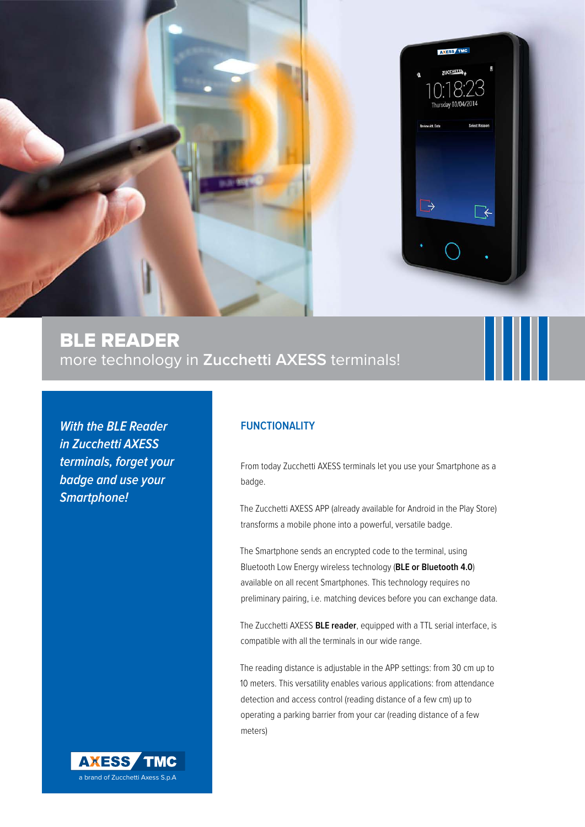

# BLE reader more technology in **Zucchetti AXESS** terminals!

**With the BLE Reader in Zucchetti AXESS terminals, forget your badge and use your Smartphone!**

### **FUNCTIONALITY**

From today Zucchetti AXESS terminals let you use your Smartphone as a badge.

The Zucchetti AXESS APP (already available for Android in the Play Store) transforms a mobile phone into a powerful, versatile badge.

The Smartphone sends an encrypted code to the terminal, using Bluetooth Low Energy wireless technology (**BLE or Bluetooth 4.0**) available on all recent Smartphones. This technology requires no preliminary pairing, i.e. matching devices before you can exchange data.

The Zucchetti AXESS **BLE reader**, equipped with a TTL serial interface, is compatible with all the terminals in our wide range.

The reading distance is adjustable in the APP settings: from 30 cm up to 10 meters. This versatility enables various applications: from attendance detection and access control (reading distance of a few cm) up to operating a parking barrier from your car (reading distance of a few meters)